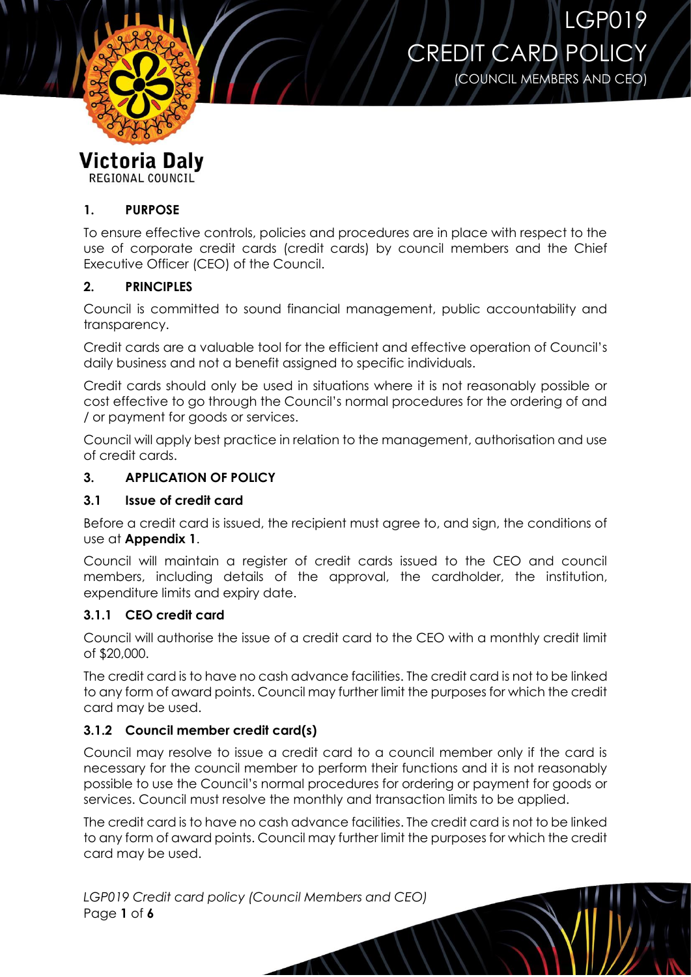



Victoria Daly

REGIONAL COUNCIL

## **1. PURPOSE**

To ensure effective controls, policies and procedures are in place with respect to the use of corporate credit cards (credit cards) by council members and the Chief Executive Officer (CEO) of the Council.

## **2. PRINCIPLES**

Council is committed to sound financial management, public accountability and transparency.

Credit cards are a valuable tool for the efficient and effective operation of Council's daily business and not a benefit assigned to specific individuals.

Credit cards should only be used in situations where it is not reasonably possible or cost effective to go through the Council's normal procedures for the ordering of and / or payment for goods or services.

Council will apply best practice in relation to the management, authorisation and use of credit cards.

## **3. APPLICATION OF POLICY**

### **3.1 Issue of credit card**

Before a credit card is issued, the recipient must agree to, and sign, the conditions of use at **Appendix 1**.

Council will maintain a register of credit cards issued to the CEO and council members, including details of the approval, the cardholder, the institution, expenditure limits and expiry date.

### **3.1.1 CEO credit card**

Council will authorise the issue of a credit card to the CEO with a monthly credit limit of \$20,000.

The credit card is to have no cash advance facilities. The credit card is not to be linked to any form of award points. Council may further limit the purposes for which the credit card may be used.

### **3.1.2 Council member credit card(s)**

Council may resolve to issue a credit card to a council member only if the card is necessary for the council member to perform their functions and it is not reasonably possible to use the Council's normal procedures for ordering or payment for goods or services. Council must resolve the monthly and transaction limits to be applied.

The credit card is to have no cash advance facilities. The credit card is not to be linked to any form of award points. Council may further limit the purposes for which the credit card may be used.

*LGP019 Credit card policy (Council Members and CEO)* Page **1** of **6**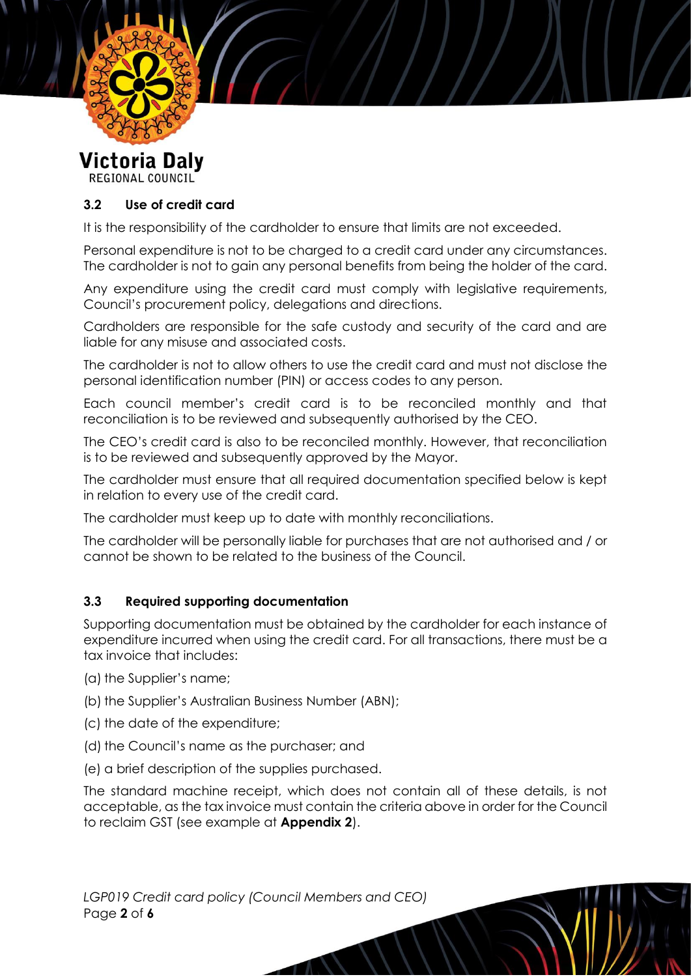

**Victoria Daly REGIONAL COUNCIL** 

# **3.2 Use of credit card**

It is the responsibility of the cardholder to ensure that limits are not exceeded.

Personal expenditure is not to be charged to a credit card under any circumstances. The cardholder is not to gain any personal benefits from being the holder of the card.

Any expenditure using the credit card must comply with legislative requirements, Council's procurement policy, delegations and directions.

Cardholders are responsible for the safe custody and security of the card and are liable for any misuse and associated costs.

The cardholder is not to allow others to use the credit card and must not disclose the personal identification number (PIN) or access codes to any person.

Each council member's credit card is to be reconciled monthly and that reconciliation is to be reviewed and subsequently authorised by the CEO.

The CEO's credit card is also to be reconciled monthly. However, that reconciliation is to be reviewed and subsequently approved by the Mayor.

The cardholder must ensure that all required documentation specified below is kept in relation to every use of the credit card.

The cardholder must keep up to date with monthly reconciliations.

The cardholder will be personally liable for purchases that are not authorised and / or cannot be shown to be related to the business of the Council.

### **3.3 Required supporting documentation**

Supporting documentation must be obtained by the cardholder for each instance of expenditure incurred when using the credit card. For all transactions, there must be a tax invoice that includes:

- (a) the Supplier's name;
- (b) the Supplier's Australian Business Number (ABN);
- (c) the date of the expenditure;
- (d) the Council's name as the purchaser; and
- (e) a brief description of the supplies purchased.

The standard machine receipt, which does not contain all of these details, is not acceptable, as the tax invoice must contain the criteria above in order for the Council to reclaim GST (see example at **Appendix 2**).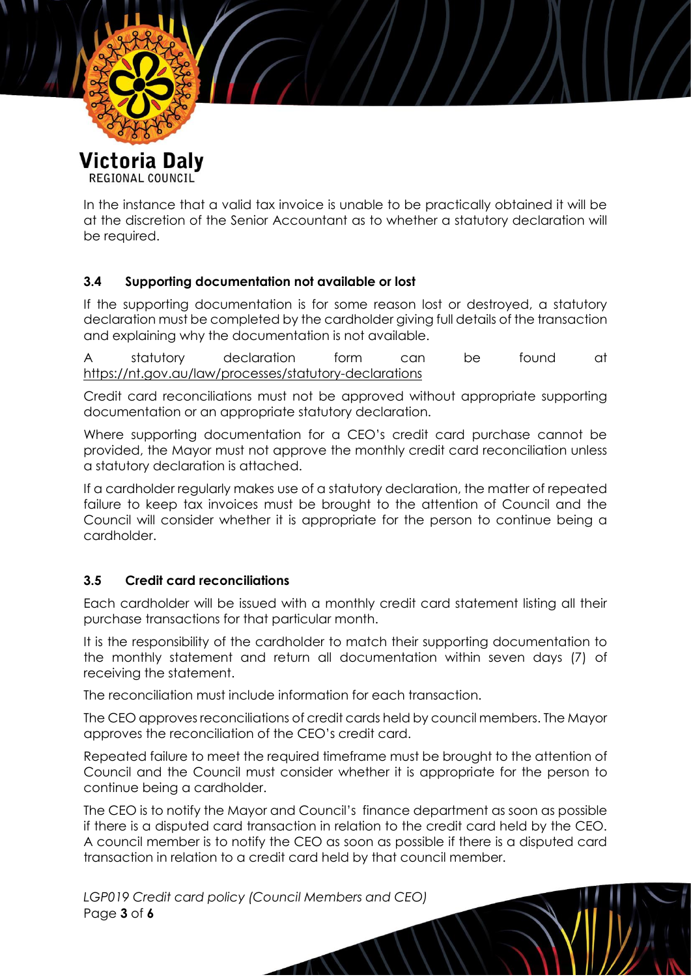

**REGIONAL COUNCIL** 

In the instance that a valid tax invoice is unable to be practically obtained it will be at the discretion of the Senior Accountant as to whether a statutory declaration will be required.

### **3.4 Supporting documentation not available or lost**

If the supporting documentation is for some reason lost or destroyed, a statutory declaration must be completed by the cardholder giving full details of the transaction and explaining why the documentation is not available.

A statutory declaration form can be found at <https://nt.gov.au/law/processes/statutory-declarations>

Credit card reconciliations must not be approved without appropriate supporting documentation or an appropriate statutory declaration.

Where supporting documentation for a CEO's credit card purchase cannot be provided, the Mayor must not approve the monthly credit card reconciliation unless a statutory declaration is attached.

If a cardholder regularly makes use of a statutory declaration, the matter of repeated failure to keep tax invoices must be brought to the attention of Council and the Council will consider whether it is appropriate for the person to continue being a cardholder.

### **3.5 Credit card reconciliations**

Each cardholder will be issued with a monthly credit card statement listing all their purchase transactions for that particular month.

It is the responsibility of the cardholder to match their supporting documentation to the monthly statement and return all documentation within seven days (7) of receiving the statement.

The reconciliation must include information for each transaction.

The CEO approves reconciliations of credit cards held by council members. The Mayor approves the reconciliation of the CEO's credit card.

Repeated failure to meet the required timeframe must be brought to the attention of Council and the Council must consider whether it is appropriate for the person to continue being a cardholder.

The CEO is to notify the Mayor and Council's finance department as soon as possible if there is a disputed card transaction in relation to the credit card held by the CEO. A council member is to notify the CEO as soon as possible if there is a disputed card transaction in relation to a credit card held by that council member.

*LGP019 Credit card policy (Council Members and CEO)* Page **3** of **6**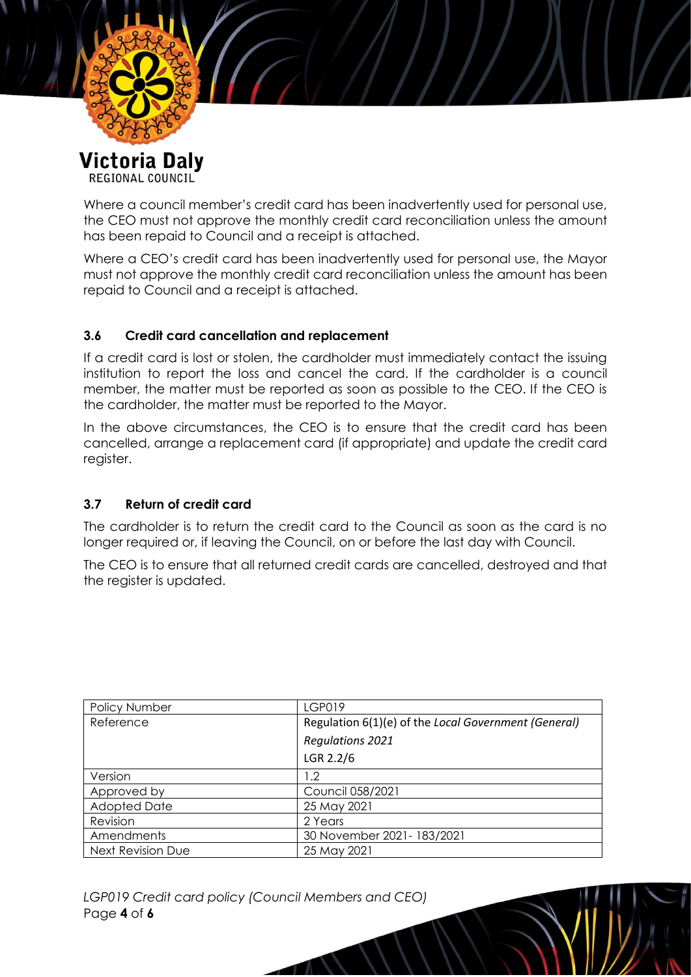

**REGIONAL COUNCIL** 

Where a council member's credit card has been inadvertently used for personal use, the CEO must not approve the monthly credit card reconciliation unless the amount has been repaid to Council and a receipt is attached.

Where a CEO's credit card has been inadvertently used for personal use, the Mayor must not approve the monthly credit card reconciliation unless the amount has been repaid to Council and a receipt is attached.

#### **3.6 Credit card cancellation and replacement**

If a credit card is lost or stolen, the cardholder must immediately contact the issuing institution to report the loss and cancel the card. If the cardholder is a council member, the matter must be reported as soon as possible to the CEO. If the CEO is the cardholder, the matter must be reported to the Mayor.

In the above circumstances, the CEO is to ensure that the credit card has been cancelled, arrange a replacement card (if appropriate) and update the credit card register.

#### **3.7 Return of credit card**

The cardholder is to return the credit card to the Council as soon as the card is no longer required or, if leaving the Council, on or before the last day with Council.

The CEO is to ensure that all returned credit cards are cancelled, destroyed and that the register is updated.

| Policy Number       | <b>LGP019</b>                                        |
|---------------------|------------------------------------------------------|
| Reference           | Regulation 6(1)(e) of the Local Government (General) |
|                     | <b>Regulations 2021</b>                              |
|                     | LGR 2.2/6                                            |
| Version             | 1.2                                                  |
| Approved by         | Council 058/2021                                     |
| <b>Adopted Date</b> | 25 May 2021                                          |
| Revision            | 2 Years                                              |
| Amendments          | 30 November 2021-183/2021                            |
| Next Revision Due   | 25 May 2021                                          |

*LGP019 Credit card policy (Council Members and CEO)* Page **4** of **6**

Æ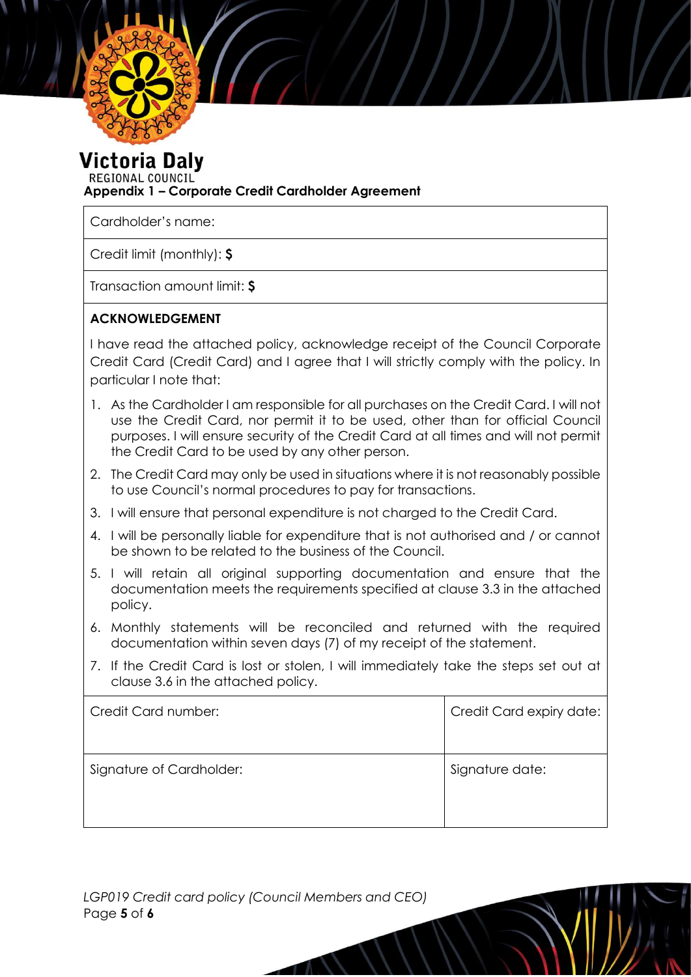

Victoria Dalv

REGIONAL COUNCIL **Appendix 1 – Corporate Credit Cardholder Agreement**

Cardholder's name:

Credit limit (monthly): **\$**

Transaction amount limit: **\$**

### **ACKNOWLEDGEMENT**

I have read the attached policy, acknowledge receipt of the Council Corporate Credit Card (Credit Card) and I agree that I will strictly comply with the policy. In particular I note that:

- 1. As the Cardholder I am responsible for all purchases on the Credit Card. I will not use the Credit Card, nor permit it to be used, other than for official Council purposes. I will ensure security of the Credit Card at all times and will not permit the Credit Card to be used by any other person.
- 2. The Credit Card may only be used in situations where it is not reasonably possible to use Council's normal procedures to pay for transactions.
- 3. I will ensure that personal expenditure is not charged to the Credit Card.
- 4. I will be personally liable for expenditure that is not authorised and / or cannot be shown to be related to the business of the Council.
- 5. I will retain all original supporting documentation and ensure that the documentation meets the requirements specified at clause 3.3 in the attached policy.
- 6. Monthly statements will be reconciled and returned with the required documentation within seven days (7) of my receipt of the statement.
- 7. If the Credit Card is lost or stolen, I will immediately take the steps set out at clause 3.6 in the attached policy.

| Credit Card number:      | Credit Card expiry date: |
|--------------------------|--------------------------|
| Signature of Cardholder: | Signature date:          |